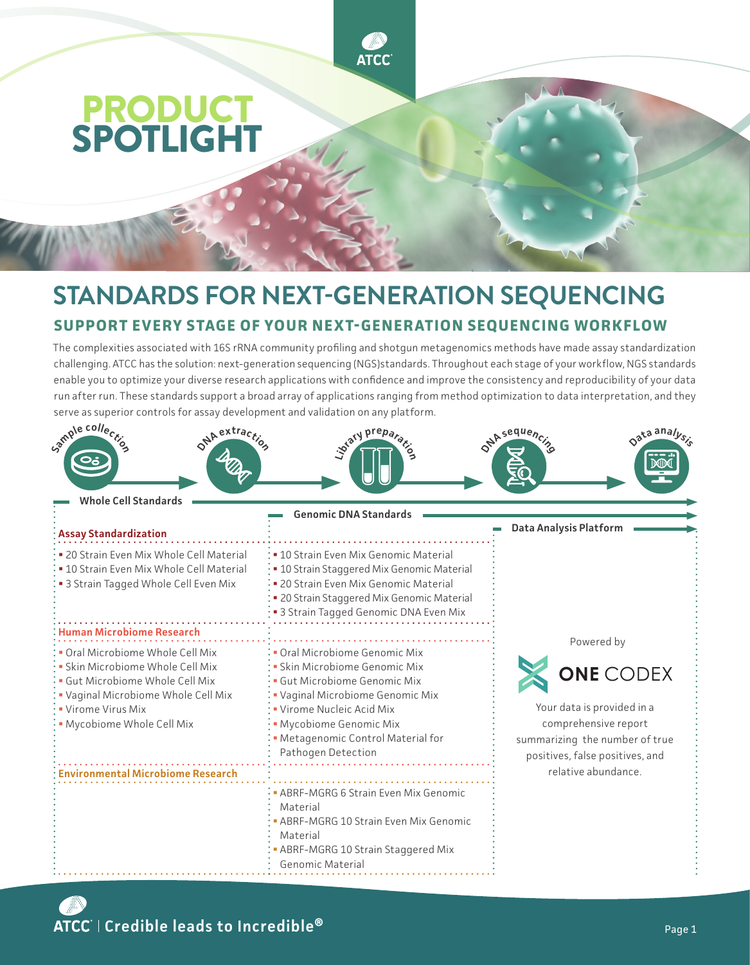

## PRODUCT SPOTLIGHT

## **SUPPORT EVERY STAGE OF YOUR NEXT-GENERATION SEQUENCING WORKFLOW STANDARDS FOR NEXT-GENERATION SEQUENCING**

The complexities associated with 16S rRNA community profiling and shotgun metagenomics methods have made assay standardization challenging. ATCC has the solution: next-generation sequencing (NGS)standards. Throughout each stage of your workflow, NGS standards enable you to optimize your diverse research applications with confidence and improve the consistency and reproducibility of your data run after run. These standards support a broad array of applications ranging from method optimization to data interpretation, and they serve as superior controls for assay development and validation on any platform.